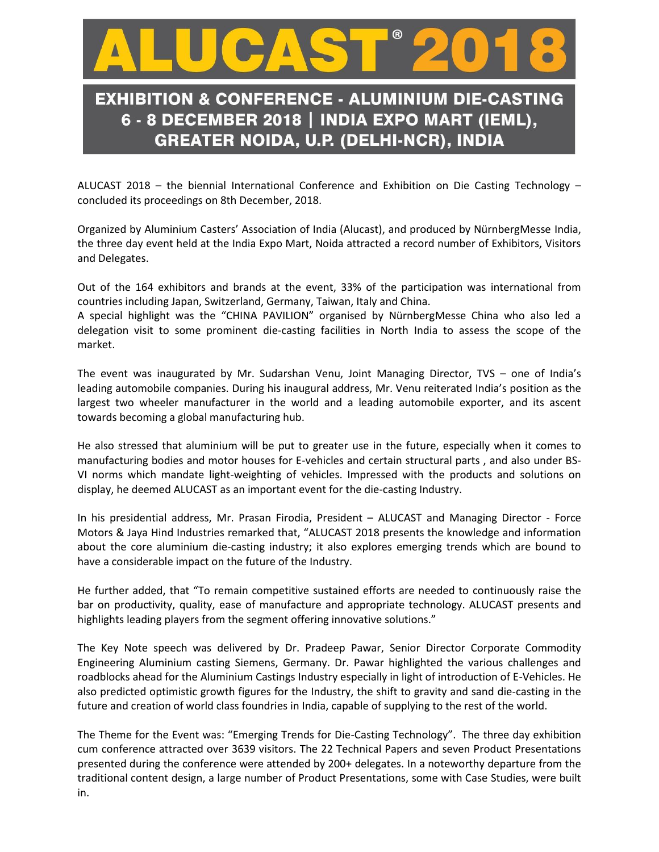

## **EXHIBITION & CONFERENCE - ALUMINIUM DIE-CASTING** 6 - 8 DECEMBER 2018 | INDIA EXPO MART (IEML), **GREATER NOIDA, U.P. (DELHI-NCR), INDIA**

ALUCAST 2018 – the biennial International Conference and Exhibition on Die Casting Technology – concluded its proceedings on 8th December, 2018.

Organized by Aluminium Casters' Association of India (Alucast), and produced by NürnbergMesse India, the three day event held at the India Expo Mart, Noida attracted a record number of Exhibitors, Visitors and Delegates.

Out of the 164 exhibitors and brands at the event, 33% of the participation was international from countries including Japan, Switzerland, Germany, Taiwan, Italy and China.

A special highlight was the "CHINA PAVILION" organised by NürnbergMesse China who also led a delegation visit to some prominent die-casting facilities in North India to assess the scope of the market.

The event was inaugurated by Mr. Sudarshan Venu, Joint Managing Director, TVS – one of India's leading automobile companies. During his inaugural address, Mr. Venu reiterated India's position as the largest two wheeler manufacturer in the world and a leading automobile exporter, and its ascent towards becoming a global manufacturing hub.

He also stressed that aluminium will be put to greater use in the future, especially when it comes to manufacturing bodies and motor houses for E-vehicles and certain structural parts , and also under BS-VI norms which mandate light-weighting of vehicles. Impressed with the products and solutions on display, he deemed ALUCAST as an important event for the die-casting Industry.

In his presidential address, Mr. Prasan Firodia, President – ALUCAST and Managing Director - Force Motors & Jaya Hind Industries remarked that, "ALUCAST 2018 presents the knowledge and information about the core aluminium die-casting industry; it also explores emerging trends which are bound to have a considerable impact on the future of the Industry.

He further added, that "To remain competitive sustained efforts are needed to continuously raise the bar on productivity, quality, ease of manufacture and appropriate technology. ALUCAST presents and highlights leading players from the segment offering innovative solutions."

The Key Note speech was delivered by Dr. Pradeep Pawar, Senior Director Corporate Commodity Engineering Aluminium casting Siemens, Germany. Dr. Pawar highlighted the various challenges and roadblocks ahead for the Aluminium Castings Industry especially in light of introduction of E-Vehicles. He also predicted optimistic growth figures for the Industry, the shift to gravity and sand die-casting in the future and creation of world class foundries in India, capable of supplying to the rest of the world.

The Theme for the Event was: "Emerging Trends for Die-Casting Technology". The three day exhibition cum conference attracted over 3639 visitors. The 22 Technical Papers and seven Product Presentations presented during the conference were attended by 200+ delegates. In a noteworthy departure from the traditional content design, a large number of Product Presentations, some with Case Studies, were built in.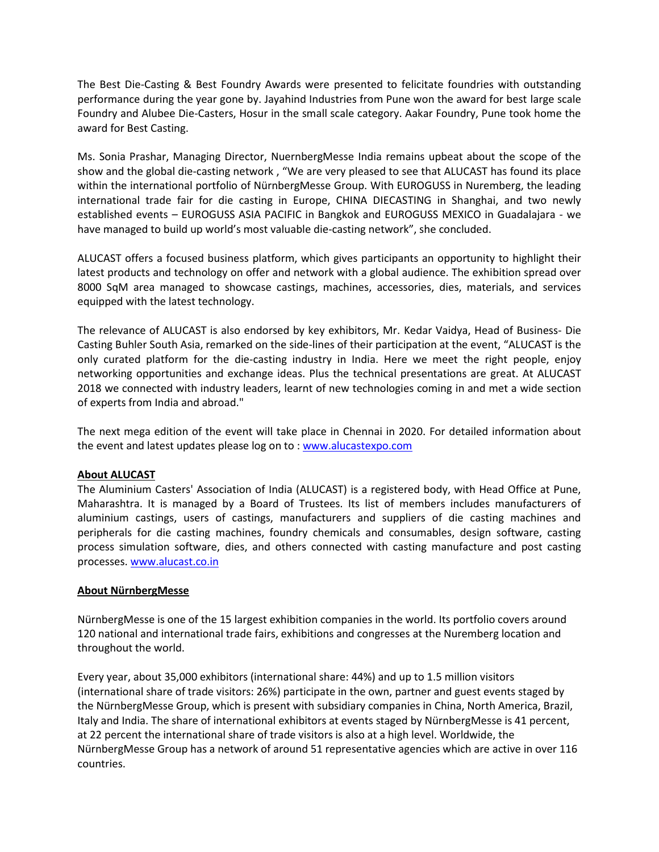The Best Die-Casting & Best Foundry Awards were presented to felicitate foundries with outstanding performance during the year gone by. Jayahind Industries from Pune won the award for best large scale Foundry and Alubee Die-Casters, Hosur in the small scale category. Aakar Foundry, Pune took home the award for Best Casting.

Ms. Sonia Prashar, Managing Director, NuernbergMesse India remains upbeat about the scope of the show and the global die-casting network , "We are very pleased to see that ALUCAST has found its place within the international portfolio of NürnbergMesse Group. With EUROGUSS in Nuremberg, the leading international trade fair for die casting in Europe, CHINA DIECASTING in Shanghai, and two newly established events – EUROGUSS ASIA PACIFIC in Bangkok and EUROGUSS MEXICO in Guadalajara - we have managed to build up world's most valuable die-casting network", she concluded.

ALUCAST offers a focused business platform, which gives participants an opportunity to highlight their latest products and technology on offer and network with a global audience. The exhibition spread over 8000 SqM area managed to showcase castings, machines, accessories, dies, materials, and services equipped with the latest technology.

The relevance of ALUCAST is also endorsed by key exhibitors, Mr. Kedar Vaidya, Head of Business- Die Casting Buhler South Asia, remarked on the side-lines of their participation at the event, "ALUCAST is the only curated platform for the die-casting industry in India. Here we meet the right people, enjoy networking opportunities and exchange ideas. Plus the technical presentations are great. At ALUCAST 2018 we connected with industry leaders, learnt of new technologies coming in and met a wide section of experts from India and abroad."

The next mega edition of the event will take place in Chennai in 2020. For detailed information about the event and latest updates please log on to : [www.alucastexpo.com](http://www.alucastexpo.com/)

## **About ALUCAST**

The Aluminium Casters' Association of India (ALUCAST) is a registered body, with Head Office at Pune, Maharashtra. It is managed by a Board of Trustees. Its list of members includes manufacturers of aluminium castings, users of castings, manufacturers and suppliers of die casting machines and peripherals for die casting machines, foundry chemicals and consumables, design software, casting process simulation software, dies, and others connected with casting manufacture and post casting processes. [www.alucast.co.in](http://www.alucast.co.in/) 

## **About NürnbergMesse**

NürnbergMesse is one of the 15 largest exhibition companies in the world. Its portfolio covers around 120 national and international trade fairs, exhibitions and congresses at the Nuremberg location and throughout the world.

Every year, about 35,000 exhibitors (international share: 44%) and up to 1.5 million visitors (international share of trade visitors: 26%) participate in the own, partner and guest events staged by the NürnbergMesse Group, which is present with subsidiary companies in China, North America, Brazil, Italy and India. The share of international exhibitors at events staged by NürnbergMesse is 41 percent, at 22 percent the international share of trade visitors is also at a high level. Worldwide, the NürnbergMesse Group has a network of around 51 representative agencies which are active in over 116 countries.